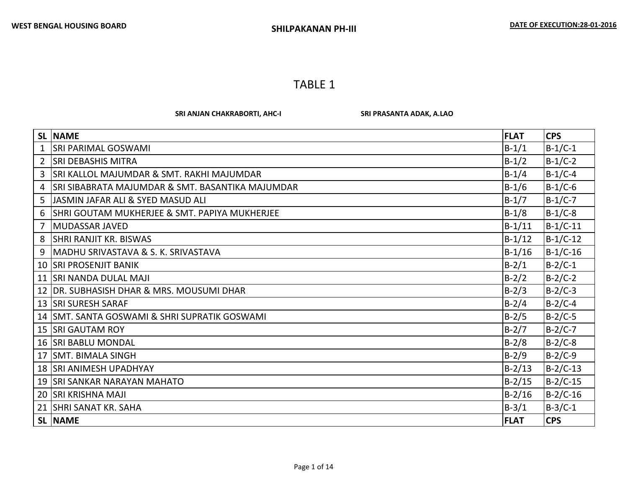SRI ANJAN CHAKRABORTI, AHC-I SRI PRASANTA ADAK, A.LAO

|                | <b>SL NAME</b>                                       | <b>FLAT</b> | <b>CPS</b> |
|----------------|------------------------------------------------------|-------------|------------|
| 1              | <b>SRI PARIMAL GOSWAMI</b>                           | $B-1/1$     | $B-1/C-1$  |
| $\overline{2}$ | <b>SRI DEBASHIS MITRA</b>                            | $B-1/2$     | $B-1/C-2$  |
| 3              | <b>SRI KALLOL MAJUMDAR &amp; SMT. RAKHI MAJUMDAR</b> | $B-1/4$     | $B-1/C-4$  |
| 4              | SRI SIBABRATA MAJUMDAR & SMT. BASANTIKA MAJUMDAR     | $B-1/6$     | $B-1/C-6$  |
| 5              | JASMIN JAFAR ALI & SYED MASUD ALI                    | $B-1/7$     | $B-1/C-7$  |
| 6              | SHRI GOUTAM MUKHERJEE & SMT. PAPIYA MUKHERJEE        | $B-1/8$     | $B-1/C-8$  |
| $\overline{7}$ | <b>MUDASSAR JAVED</b>                                | $B-1/11$    | $B-1/C-11$ |
| 8              | <b>SHRI RANJIT KR. BISWAS</b>                        | $B-1/12$    | $B-1/C-12$ |
| 9              | MADHU SRIVASTAVA & S. K. SRIVASTAVA                  | $B-1/16$    | $B-1/C-16$ |
|                | 10 SRI PROSENJIT BANIK                               | $B-2/1$     | $B-2/C-1$  |
|                | 11 SRI NANDA DULAL MAJI                              | $B-2/2$     | $B-2/C-2$  |
| 12             | DR. SUBHASISH DHAR & MRS. MOUSUMI DHAR               | $B-2/3$     | $B-2/C-3$  |
|                | 13   SRI SURESH SARAF                                | $B-2/4$     | $B-2/C-4$  |
|                | 14   SMT. SANTA GOSWAMI & SHRI SUPRATIK GOSWAMI      | $B-2/5$     | $B-2/C-5$  |
|                | 15   SRI GAUTAM ROY                                  | $B-2/7$     | $B-2/C-7$  |
|                | 16 SRI BABLU MONDAL                                  | $B-2/8$     | $B-2/C-8$  |
|                | 17 SMT. BIMALA SINGH                                 | $B-2/9$     | $B-2/C-9$  |
|                | 18 SRI ANIMESH UPADHYAY                              | $B-2/13$    | B-2/C-13   |
|                | 19 SRI SANKAR NARAYAN MAHATO                         | $B-2/15$    | $B-2/C-15$ |
|                | 20 SRI KRISHNA MAJI                                  | $B-2/16$    | $B-2/C-16$ |
|                | 21 SHRI SANAT KR. SAHA                               | $B-3/1$     | $B-3/C-1$  |
|                | SL NAME                                              | <b>FLAT</b> | <b>CPS</b> |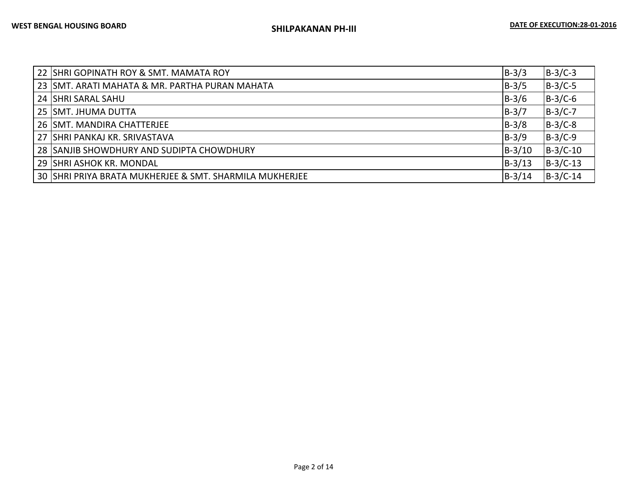| 22 SHRI GOPINATH ROY & SMT. MAMATA ROY                  | $B-3/3$  | $B-3/C-3$  |
|---------------------------------------------------------|----------|------------|
| 23 SMT. ARATI MAHATA & MR. PARTHA PURAN MAHATA          | $B-3/5$  | $B-3/C-5$  |
| 24 SHRI SARAL SAHU                                      | $B-3/6$  | $B-3/C-6$  |
| 25 SMT. JHUMA DUTTA                                     | $B-3/7$  | $B-3/C-7$  |
| 26 SMT. MANDIRA CHATTERJEE                              | $B-3/8$  | $B-3/C-8$  |
| 27 SHRI PANKAJ KR. SRIVASTAVA                           | $B-3/9$  | $B-3/C-9$  |
| 28 SANJIB SHOWDHURY AND SUDIPTA CHOWDHURY               | $B-3/10$ | $B-3/C-10$ |
| 29 ISHRI ASHOK KR. MONDAL                               | $B-3/13$ | $B-3/C-13$ |
| 30 SHRI PRIYA BRATA MUKHERJEE & SMT. SHARMILA MUKHERJEE | $B-3/14$ | $B-3/C-14$ |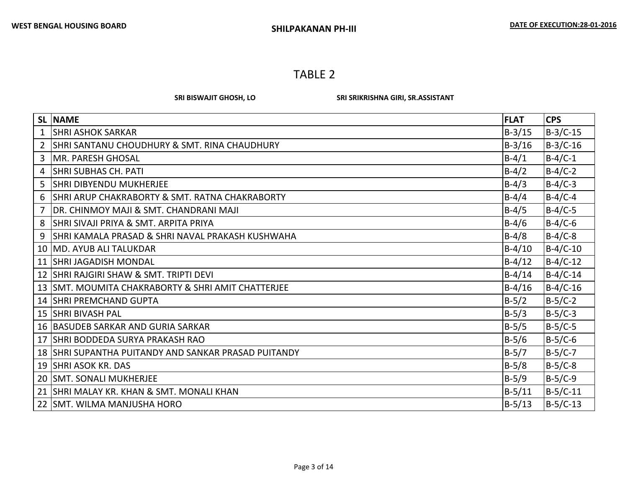SRI BISWAJIT GHOSH, LO SRI SRIKRISHNA GIRI, SR.ASSISTANT

|                       | <b>SL NAME</b>                                          | <b>FLAT</b> | <b>CPS</b> |
|-----------------------|---------------------------------------------------------|-------------|------------|
| $\mathbf{1}$          | <b>SHRI ASHOK SARKAR</b>                                | $B-3/15$    | $B-3/C-15$ |
| $\mathbf{2}^{\prime}$ | <b>SHRI SANTANU CHOUDHURY &amp; SMT. RINA CHAUDHURY</b> | $B-3/16$    | $B-3/C-16$ |
| 3                     | MR. PARESH GHOSAL                                       | $B-4/1$     | $B-4/C-1$  |
| 4                     | <b>SHRI SUBHAS CH. PATI</b>                             | $B-4/2$     | $B-4/C-2$  |
| 5.                    | <b>SHRI DIBYENDU MUKHERJEE</b>                          | $B-4/3$     | $B-4/C-3$  |
| 6                     | SHRI ARUP CHAKRABORTY & SMT. RATNA CHAKRABORTY          | $B - 4/4$   | $B-4/C-4$  |
|                       | DR. CHINMOY MAJI & SMT. CHANDRANI MAJI                  | $B-4/5$     | $B-4/C-5$  |
| 8                     | SHRI SIVAJI PRIYA & SMT. ARPITA PRIYA                   | $B-4/6$     | $B-4/C-6$  |
| 9                     | SHRI KAMALA PRASAD & SHRI NAVAL PRAKASH KUSHWAHA        | $B-4/8$     | $B-4/C-8$  |
|                       | 10 IMD. AYUB ALI TALUKDAR                               | $B-4/10$    | $B-4/C-10$ |
|                       | 11 SHRI JAGADISH MONDAL                                 | $B-4/12$    | $B-4/C-12$ |
|                       | 12 SHRI RAJGIRI SHAW & SMT. TRIPTI DEVI                 | $B-4/14$    | $B-4/C-14$ |
|                       | 13 SMT. MOUMITA CHAKRABORTY & SHRI AMIT CHATTERJEE      | $B-4/16$    | $B-4/C-16$ |
|                       | 14 SHRI PREMCHAND GUPTA                                 | $B-5/2$     | $B-5/C-2$  |
|                       | 15   SHRI BIVASH PAL                                    | $B-5/3$     | $B-5/C-3$  |
|                       | 16 BASUDEB SARKAR AND GURIA SARKAR                      | $B-5/5$     | $B-5/C-5$  |
|                       | 17 SHRI BODDEDA SURYA PRAKASH RAO                       | $B-5/6$     | $B-5/C-6$  |
|                       | 18 SHRI SUPANTHA PUITANDY AND SANKAR PRASAD PUITANDY    | $B-5/7$     | $B-5/C-7$  |
|                       | 19 SHRI ASOK KR. DAS                                    | $B-5/8$     | $B-5/C-8$  |
|                       | 20 SMT. SONALI MUKHERJEE                                | $B-5/9$     | $B-5/C-9$  |
|                       | 21 SHRI MALAY KR. KHAN & SMT. MONALI KHAN               | $B-5/11$    | B-5/C-11   |
|                       | 22 SMT. WILMA MANJUSHA HORO                             | $B-5/13$    | $B-5/C-13$ |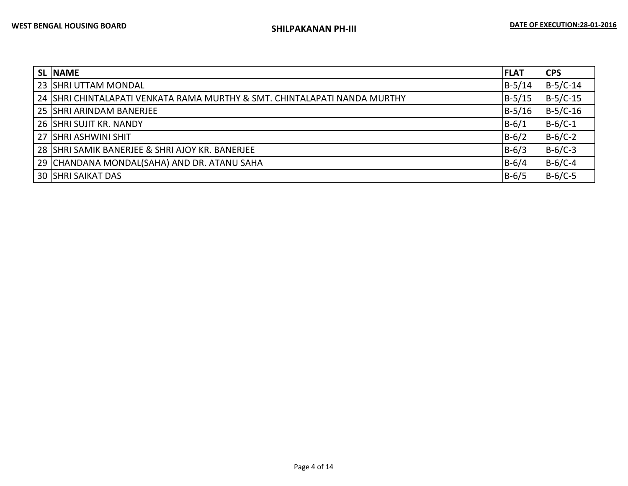| <b>SL NAME</b>                                                            | <b>FLAT</b> | <b>CPS</b> |
|---------------------------------------------------------------------------|-------------|------------|
| 23 SHRI UTTAM MONDAL                                                      | $B-5/14$    | $B-5/C-14$ |
| 24 SHRI CHINTALAPATI VENKATA RAMA MURTHY & SMT. CHINTALAPATI NANDA MURTHY | $B-5/15$    | $B-5/C-15$ |
| 25 SHRI ARINDAM BANERJEE                                                  | $B-5/16$    | $B-5/C-16$ |
| 26 SHRI SUJIT KR. NANDY                                                   | $B-6/1$     | $B-6/C-1$  |
| 27 SHRI ASHWINI SHIT                                                      | $B-6/2$     | $B-6/C-2$  |
| 28 SHRI SAMIK BANERJEE & SHRI AJOY KR. BANERJEE                           | $B-6/3$     | $B-6/C-3$  |
| 29 CHANDANA MONDAL(SAHA) AND DR. ATANU SAHA                               | $B - 6/4$   | $B-6/C-4$  |
| <b>30 SHRI SAIKAT DAS</b>                                                 | $B-6/5$     | $B-6/C-5$  |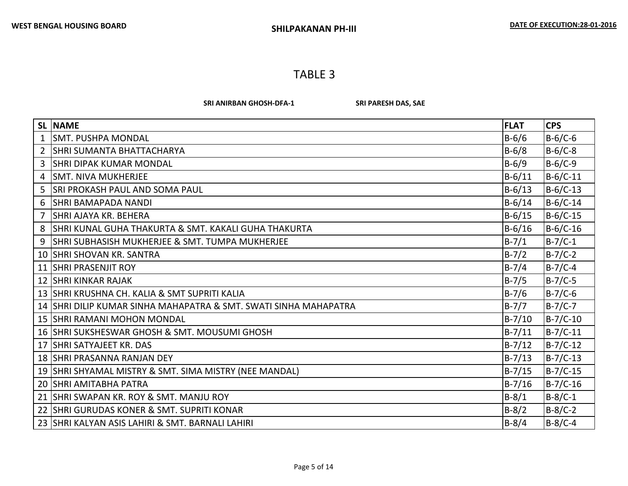SRI ANIRBAN GHOSH-DFA-1 SRI PARESH DAS, SAE

|                | <b>SL INAME</b>                                                  | <b>FLAT</b> | <b>CPS</b> |
|----------------|------------------------------------------------------------------|-------------|------------|
|                | <b>SMT. PUSHPA MONDAL</b>                                        | $B-6/6$     | $B-6/C-6$  |
| $\overline{2}$ | <b>SHRI SUMANTA BHATTACHARYA</b>                                 | $B-6/8$     | $B-6/C-8$  |
| 3              | <b>SHRI DIPAK KUMAR MONDAL</b>                                   | $B-6/9$     | $B-6/C-9$  |
| 4              | <b>SMT. NIVA MUKHERJEE</b>                                       | $B-6/11$    | $B-6/C-11$ |
| 5.             | <b>SRI PROKASH PAUL AND SOMA PAUL</b>                            | $B-6/13$    | $B-6/C-13$ |
| 6              | <b>SHRI BAMAPADA NANDI</b>                                       | $B-6/14$    | $B-6/C-14$ |
| $\overline{7}$ | <b>SHRI AJAYA KR. BEHERA</b>                                     | $B-6/15$    | $B-6/C-15$ |
| 8              | SHRI KUNAL GUHA THAKURTA & SMT. KAKALI GUHA THAKURTA             | $B-6/16$    | $B-6/C-16$ |
| 9              | <b>SHRI SUBHASISH MUKHERJEE &amp; SMT. TUMPA MUKHERJEE</b>       | $B-7/1$     | $B-7/C-1$  |
|                | 10 SHRI SHOVAN KR. SANTRA                                        | $B-7/2$     | $B-7/C-2$  |
|                | 11 SHRI PRASENJIT ROY                                            | $B - 7/4$   | $B-7/C-4$  |
|                | 12 SHRI KINKAR RAJAK                                             | $B-7/5$     | $B-7/C-5$  |
|                | 13 SHRI KRUSHNA CH. KALIA & SMT SUPRITI KALIA                    | $B-7/6$     | $B-7/C-6$  |
|                | 14 SHRI DILIP KUMAR SINHA MAHAPATRA & SMT. SWATI SINHA MAHAPATRA | $B-7/7$     | $B-7/C-7$  |
|                | 15 SHRI RAMANI MOHON MONDAL                                      | $B-7/10$    | $B-7/C-10$ |
|                | 16 SHRI SUKSHESWAR GHOSH & SMT. MOUSUMI GHOSH                    | $B-7/11$    | $B-7/C-11$ |
|                | 17 SHRI SATYAJEET KR. DAS                                        | $B-7/12$    | $B-7/C-12$ |
|                | 18 SHRI PRASANNA RANJAN DEY                                      | $B-7/13$    | $B-7/C-13$ |
|                | 19 SHRI SHYAMAL MISTRY & SMT. SIMA MISTRY (NEE MANDAL)           | $B-7/15$    | $B-7/C-15$ |
|                | <b>20 SHRI AMITABHA PATRA</b>                                    | $B-7/16$    | $B-7/C-16$ |
|                | 21 SHRI SWAPAN KR. ROY & SMT. MANJU ROY                          | $B-8/1$     | $B-8/C-1$  |
|                | 22 SHRI GURUDAS KONER & SMT. SUPRITI KONAR                       | $B-8/2$     | $B-8/C-2$  |
|                | 23 SHRI KALYAN ASIS LAHIRI & SMT. BARNALI LAHIRI                 | $B-8/4$     | $B-8/C-4$  |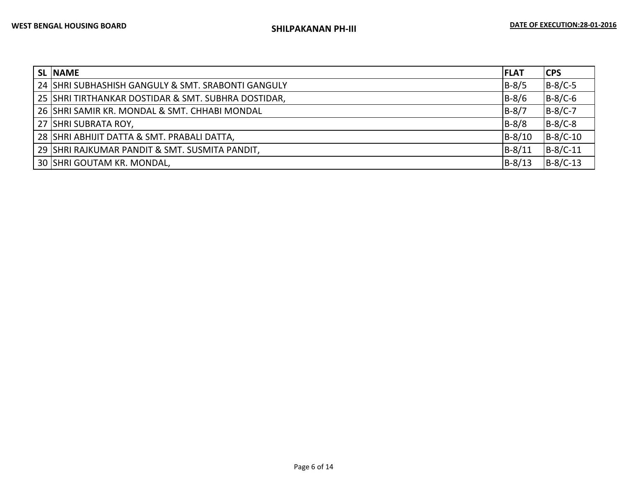| <b>SL NAME</b>                                      | <b>FLAT</b> | <b>CPS</b> |
|-----------------------------------------------------|-------------|------------|
| 24 SHRI SUBHASHISH GANGULY & SMT. SRABONTI GANGULY  | $B-8/5$     | $B-8/C-5$  |
| 25 SHRI TIRTHANKAR DOSTIDAR & SMT. SUBHRA DOSTIDAR, | $B-8/6$     | $B-8/C-6$  |
| 26 SHRI SAMIR KR. MONDAL & SMT. CHHABI MONDAL       | $B-8/7$     | $B-8/C-7$  |
| 27 SHRI SUBRATA ROY,                                | $B-8/8$     | $B-8/C-8$  |
| 28 SHRI ABHIJIT DATTA & SMT. PRABALI DATTA,         | $B-8/10$    | $B-8/C-10$ |
| 29 SHRI RAJKUMAR PANDIT & SMT. SUSMITA PANDIT,      | $B-8/11$    | B-8/C-11   |
| 30 SHRI GOUTAM KR. MONDAL,                          | $B-8/13$    | $B-8/C-13$ |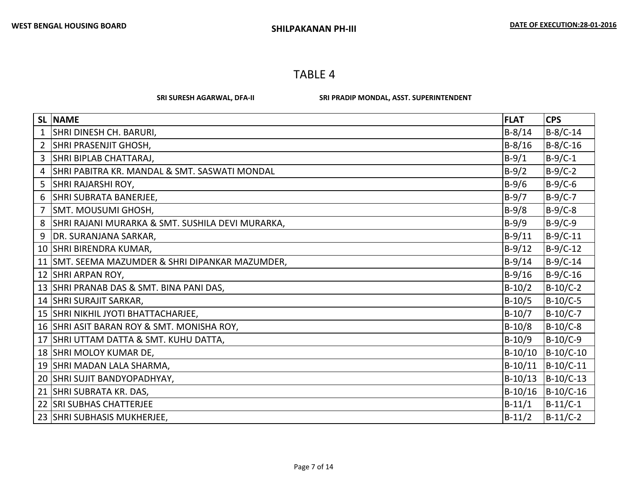SRI SURESH AGARWAL, DFA-II SRI PRADIP MONDAL, ASST. SUPERINTENDENT

|                | SL NAME                                          | <b>FLAT</b> | <b>CPS</b>  |
|----------------|--------------------------------------------------|-------------|-------------|
|                | SHRI DINESH CH. BARURI,                          | $B-8/14$    | $B-8/C-14$  |
| $\overline{2}$ | SHRI PRASENJIT GHOSH,                            | $B-8/16$    | $B-8/C-16$  |
| 3              | SHRI BIPLAB CHATTARAJ,                           | $B-9/1$     | $B-9/C-1$   |
| 4              | SHRI PABITRA KR. MANDAL & SMT. SASWATI MONDAL    | $B-9/2$     | $B-9/C-2$   |
| 5              | SHRI RAJARSHI ROY,                               | $B-9/6$     | $B-9/C-6$   |
| 6              | SHRI SUBRATA BANERJEE,                           | $B-9/7$     | $B-9/C-7$   |
| 7              | SMT. MOUSUMI GHOSH,                              | $B-9/8$     | $B-9/C-8$   |
| 8              | SHRI RAJANI MURARKA & SMT. SUSHILA DEVI MURARKA, | $B-9/9$     | $B-9/C-9$   |
| 9              | DR. SURANJANA SARKAR,                            | $B-9/11$    | $B-9/C-11$  |
|                | 10 SHRI BIRENDRA KUMAR,                          | $B-9/12$    | $B-9/C-12$  |
|                | 11 SMT. SEEMA MAZUMDER & SHRI DIPANKAR MAZUMDER, | $B-9/14$    | $B-9/C-14$  |
|                | 12 SHRI ARPAN ROY,                               | $B-9/16$    | $B-9/C-16$  |
|                | 13 SHRI PRANAB DAS & SMT. BINA PANI DAS,         | $B-10/2$    | $B-10/C-2$  |
|                | 14 SHRI SURAJIT SARKAR,                          | $B-10/5$    | $B-10/C-5$  |
|                | 15 SHRI NIKHIL JYOTI BHATTACHARJEE,              | $B-10/7$    | $B-10/C-7$  |
|                | 16 SHRI ASIT BARAN ROY & SMT. MONISHA ROY,       | $B-10/8$    | $B-10/C-8$  |
|                | 17 SHRI UTTAM DATTA & SMT. KUHU DATTA,           | $B-10/9$    | $B-10/C-9$  |
|                | 18 SHRI MOLOY KUMAR DE,                          | $B-10/10$   | $B-10/C-10$ |
|                | 19 SHRI MADAN LALA SHARMA,                       | $B-10/11$   | $B-10/C-11$ |
|                | 20 SHRI SUJIT BANDYOPADHYAY,                     | $B-10/13$   | $B-10/C-13$ |
|                | 21 SHRI SUBRATA KR. DAS,                         | $B-10/16$   | $B-10/C-16$ |
|                | 22 SRI SUBHAS CHATTERJEE                         | $B-11/1$    | $B-11/C-1$  |
|                | 23 SHRI SUBHASIS MUKHERJEE,                      | $B-11/2$    | $B-11/C-2$  |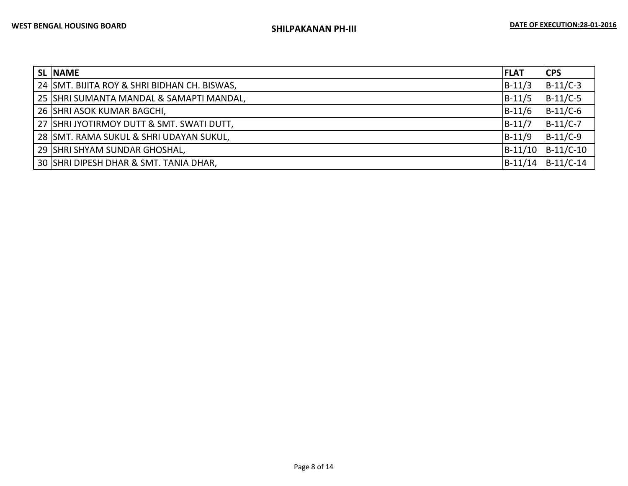| <b>SL NAME</b>                               | <b>FLAT</b> | <b>CPS</b>  |
|----------------------------------------------|-------------|-------------|
| 24 SMT. BIJITA ROY & SHRI BIDHAN CH. BISWAS, | $B-11/3$    | $B-11/C-3$  |
| 25 SHRI SUMANTA MANDAL & SAMAPTI MANDAL,     | $B-11/5$    | $B-11/C-5$  |
| 26 SHRI ASOK KUMAR BAGCHI,                   | $B-11/6$    | $B-11/C-6$  |
| 27 SHRI JYOTIRMOY DUTT & SMT. SWATI DUTT,    | $B-11/7$    | $B-11/C-7$  |
| 28 SMT. RAMA SUKUL & SHRI UDAYAN SUKUL,      | $B-11/9$    | $B-11/C-9$  |
| 29 SHRI SHYAM SUNDAR GHOSHAL,                | $B-11/10$   | $B-11/C-10$ |
| 30 SHRI DIPESH DHAR & SMT. TANIA DHAR,       | $B-11/14$   | $B-11/C-14$ |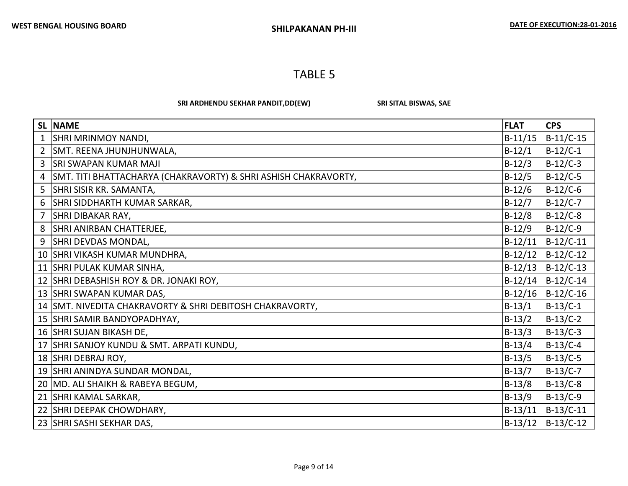SRI ARDHENDU SEKHAR PANDIT,DD(EW) SRI SITAL BISWAS, SAE

| <b>SL</b> | <b>NAME</b>                                                     | <b>FLAT</b> | <b>CPS</b>  |
|-----------|-----------------------------------------------------------------|-------------|-------------|
| 1         | SHRI MRINMOY NANDI,                                             | $B-11/15$   | $B-11/C-15$ |
| 2         | SMT. REENA JHUNJHUNWALA,                                        | $B-12/1$    | $B-12/C-1$  |
| 3         | <b>SRI SWAPAN KUMAR MAJI</b>                                    | $B-12/3$    | $B-12/C-3$  |
| 4         | SMT. TITI BHATTACHARYA (CHAKRAVORTY) & SHRI ASHISH CHAKRAVORTY, | $B-12/5$    | $B-12/C-5$  |
| 5         | SHRI SISIR KR. SAMANTA,                                         | $B-12/6$    | B-12/C-6    |
| 6         | SHRI SIDDHARTH KUMAR SARKAR,                                    | $B-12/7$    | $B-12/C-7$  |
| 7         | SHRI DIBAKAR RAY,                                               | $B-12/8$    | $B-12/C-8$  |
| 8         | SHRI ANIRBAN CHATTERJEE,                                        | $B-12/9$    | $B-12/C-9$  |
| 9         | SHRI DEVDAS MONDAL,                                             | $B-12/11$   | $B-12/C-11$ |
| 10        | SHRI VIKASH KUMAR MUNDHRA,                                      | $B-12/12$   | $B-12/C-12$ |
|           | 11 SHRI PULAK KUMAR SINHA,                                      | $B-12/13$   | $B-12/C-13$ |
|           | 12 SHRI DEBASHISH ROY & DR. JONAKI ROY,                         | B-12/14     | $B-12/C-14$ |
|           | 13 SHRI SWAPAN KUMAR DAS,                                       | $B-12/16$   | $B-12/C-16$ |
|           | 14 SMT. NIVEDITA CHAKRAVORTY & SHRI DEBITOSH CHAKRAVORTY,       | $B-13/1$    | B-13/C-1    |
|           | 15 SHRI SAMIR BANDYOPADHYAY,                                    | $B-13/2$    | $B-13/C-2$  |
|           | 16 SHRI SUJAN BIKASH DE,                                        | $B-13/3$    | $B-13/C-3$  |
|           | 17 SHRI SANJOY KUNDU & SMT. ARPATI KUNDU,                       | $B-13/4$    | $B-13/C-4$  |
|           | 18 SHRI DEBRAJ ROY,                                             | $B-13/5$    | $B-13/C-5$  |
|           | 19 SHRI ANINDYA SUNDAR MONDAL,                                  | $B-13/7$    | $B-13/C-7$  |
|           | 20   MD. ALI SHAIKH & RABEYA BEGUM,                             | $B-13/8$    | $B-13/C-8$  |
|           | 21 SHRI KAMAL SARKAR,                                           | $B-13/9$    | $B-13/C-9$  |
|           | 22 SHRI DEEPAK CHOWDHARY,                                       | $B-13/11$   | $B-13/C-11$ |
|           | 23 SHRI SASHI SEKHAR DAS,                                       | $B-13/12$   | $B-13/C-12$ |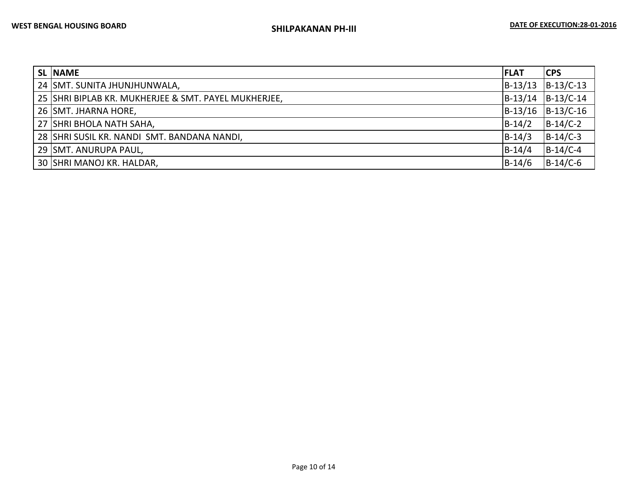| <b>SL NAME</b>                                       | IFLAT     | <b>CPS</b>  |
|------------------------------------------------------|-----------|-------------|
| 24 SMT. SUNITA JHUNJHUNWALA,                         | $B-13/13$ | $B-13/C-13$ |
| 25 SHRI BIPLAB KR. MUKHERJEE & SMT. PAYEL MUKHERJEE, | $B-13/14$ | $B-13/C-14$ |
| 26 SMT. JHARNA HORE,                                 | $B-13/16$ | $B-13/C-16$ |
| 27 SHRI BHOLA NATH SAHA,                             | $B-14/2$  | $B-14/C-2$  |
| 28 SHRI SUSIL KR. NANDI SMT. BANDANA NANDI,          | $B-14/3$  | $B-14/C-3$  |
| 29 SMT. ANURUPA PAUL,                                | $B-14/4$  | $B-14/C-4$  |
| 30 SHRI MANOJ KR. HALDAR,                            | $B-14/6$  | $B-14/C-6$  |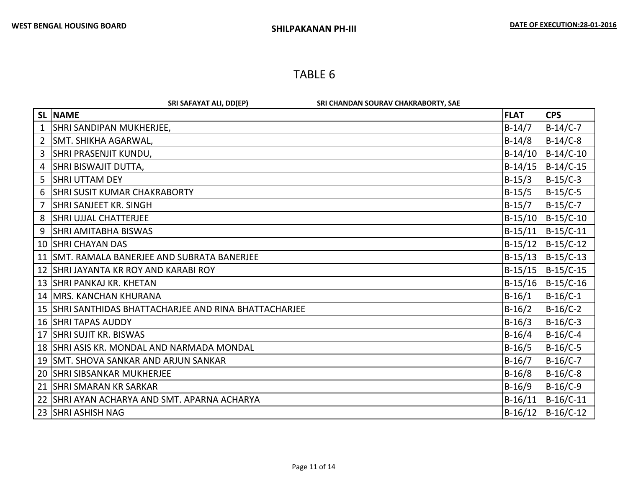|                | SRI SAFAYAT ALI, DD(EP)<br>SRI CHANDAN SOURAV CHAKRABORTY, SAE |             |             |
|----------------|----------------------------------------------------------------|-------------|-------------|
|                | <b>SL NAME</b>                                                 | <b>FLAT</b> | <b>CPS</b>  |
|                | SHRI SANDIPAN MUKHERJEE,                                       | $B-14/7$    | B-14/C-7    |
| $\overline{2}$ | SMT. SHIKHA AGARWAL,                                           | $B-14/8$    | B-14/C-8    |
| 3              | SHRI PRASENJIT KUNDU,                                          | $B-14/10$   | $B-14/C-10$ |
| 4              | SHRI BISWAJIT DUTTA,                                           | $B-14/15$   | $B-14/C-15$ |
| 5              | <b>SHRI UTTAM DEY</b>                                          | $B-15/3$    | B-15/C-3    |
| 6              | <b>SHRI SUSIT KUMAR CHAKRABORTY</b>                            | $B-15/5$    | B-15/C-5    |
| 7              | SHRI SANJEET KR. SINGH                                         | $B-15/7$    | B-15/C-7    |
| 8              | <b>SHRI UJJAL CHATTERJEE</b>                                   | $B-15/10$   | $B-15/C-10$ |
| 9              | <b>SHRI AMITABHA BISWAS</b>                                    | $B-15/11$   | $B-15/C-11$ |
| 10             | <b>SHRI CHAYAN DAS</b>                                         | $B-15/12$   | $B-15/C-12$ |
| 11             | SMT. RAMALA BANERJEE AND SUBRATA BANERJEE                      | $B-15/13$   | $B-15/C-13$ |
|                | 12 SHRI JAYANTA KR ROY AND KARABI ROY                          | $B-15/15$   | $B-15/C-15$ |
|                | 13 SHRI PANKAJ KR. KHETAN                                      | $B-15/16$   | $B-15/C-16$ |
|                | 14   MRS. KANCHAN KHURANA                                      | $B-16/1$    | $B-16/C-1$  |
|                | 15 SHRI SANTHIDAS BHATTACHARJEE AND RINA BHATTACHARJEE         | $B-16/2$    | $B-16/C-2$  |
|                | <b>16 SHRI TAPAS AUDDY</b>                                     | $B-16/3$    | $B-16/C-3$  |
|                | 17 SHRI SUJIT KR. BISWAS                                       | $B-16/4$    | $B-16/C-4$  |
|                | 18 SHRI ASIS KR. MONDAL AND NARMADA MONDAL                     | $B-16/5$    | $B-16/C-5$  |
|                | 19 SMT. SHOVA SANKAR AND ARJUN SANKAR                          | $B-16/7$    | $B-16/C-7$  |
|                | <b>20 SHRI SIBSANKAR MUKHERJEE</b>                             | $B-16/8$    | $B-16/C-8$  |
|                | 21 SHRI SMARAN KR SARKAR                                       | $B-16/9$    | $B-16/C-9$  |
|                | 22 ISHRI AYAN ACHARYA AND SMT. APARNA ACHARYA                  | $B-16/11$   | $B-16/C-11$ |
|                | 23 SHRI ASHISH NAG                                             | $B-16/12$   | $B-16/C-12$ |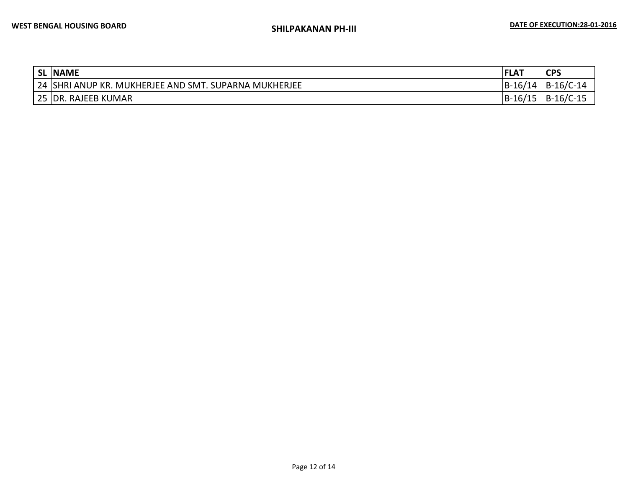|    | SL NAME                                                         | <b>FLAT</b>       | <b>CDC</b><br><b>СГЭ</b> |
|----|-----------------------------------------------------------------|-------------------|--------------------------|
| 24 | I ANUP KR. MUKHERJEE AND SMT. SUPARNA MUKHERJEE<br><b>ISHRI</b> | $ B-16/17 $<br>14 | $B-16/C-14$              |
|    | 25 DR. RAJEEB KUMAR                                             | $B-16/15$         | $B-16/C-15$              |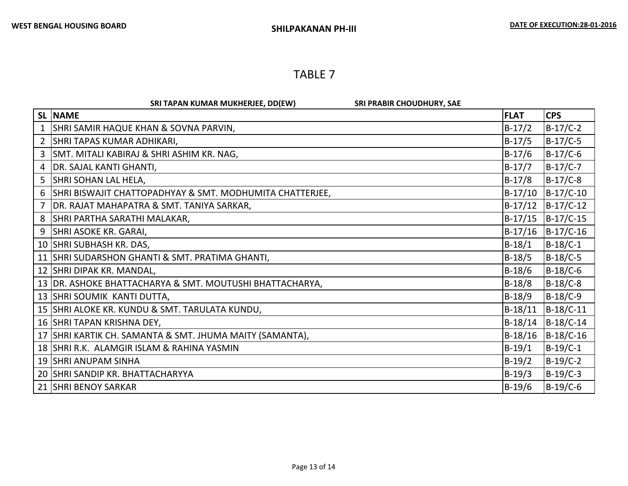|              | SRI TAPAN KUMAR MUKHERJEE, DD(EW)<br><b>SRI PRABIR CHOUDHURY, SAE</b> |             |             |
|--------------|-----------------------------------------------------------------------|-------------|-------------|
|              | <b>SL NAME</b>                                                        | <b>FLAT</b> | <b>CPS</b>  |
| $\mathbf{1}$ | SHRI SAMIR HAQUE KHAN & SOVNA PARVIN,                                 | $B-17/2$    | B-17/C-2    |
| 2            | SHRI TAPAS KUMAR ADHIKARI,                                            | $B-17/5$    | $B-17/C-5$  |
| 3            | SMT. MITALI KABIRAJ & SHRI ASHIM KR. NAG,                             | $B-17/6$    | $B-17/C-6$  |
| 4            | DR. SAJAL KANTI GHANTI,                                               | $B-17/7$    | $B-17/C-7$  |
| 5            | SHRI SOHAN LAL HELA,                                                  | $B-17/8$    | B-17/C-8    |
| 6            | SHRI BISWAJIT CHATTOPADHYAY & SMT. MODHUMITA CHATTERJEE,              | $B-17/10$   | $B-17/C-10$ |
| 7            | DR. RAJAT MAHAPATRA & SMT. TANIYA SARKAR,                             | $B-17/12$   | $B-17/C-12$ |
| 8            | <b>SHRI PARTHA SARATHI MALAKAR,</b>                                   | $B-17/15$   | $B-17/C-15$ |
| 9            | <b>SHRI ASOKE KR. GARAI,</b>                                          | $B-17/16$   | $B-17/C-16$ |
|              | 10 SHRI SUBHASH KR. DAS,                                              | $B-18/1$    | B-18/C-1    |
|              | 11 SHRI SUDARSHON GHANTI & SMT. PRATIMA GHANTI,                       | $B-18/5$    | $B-18/C-5$  |
|              | 12 SHRI DIPAK KR. MANDAL,                                             | $B-18/6$    | $B-18/C-6$  |
| 13           | DR. ASHOKE BHATTACHARYA & SMT. MOUTUSHI BHATTACHARYA,                 | $B-18/8$    | $B-18/C-8$  |
|              | 13 SHRI SOUMIK KANTI DUTTA,                                           | $B-18/9$    | $B-18/C-9$  |
|              | 15 SHRI ALOKE KR. KUNDU & SMT. TARULATA KUNDU,                        | $B-18/11$   | $B-18/C-11$ |
|              | 16 SHRI TAPAN KRISHNA DEY,                                            | $B-18/14$   | $B-18/C-14$ |
|              | 17 SHRI KARTIK CH. SAMANTA & SMT. JHUMA MAITY (SAMANTA),              | $B-18/16$   | $B-18/C-16$ |
|              | 18 SHRI R.K. ALAMGIR ISLAM & RAHINA YASMIN                            | $B-19/1$    | B-19/C-1    |
|              | 19 SHRI ANUPAM SINHA                                                  | $B-19/2$    | B-19/C-2    |
|              | 20 SHRI SANDIP KR. BHATTACHARYYA                                      | $B-19/3$    | $B-19/C-3$  |
|              | 21 SHRI BENOY SARKAR                                                  | $B-19/6$    | $B-19/C-6$  |